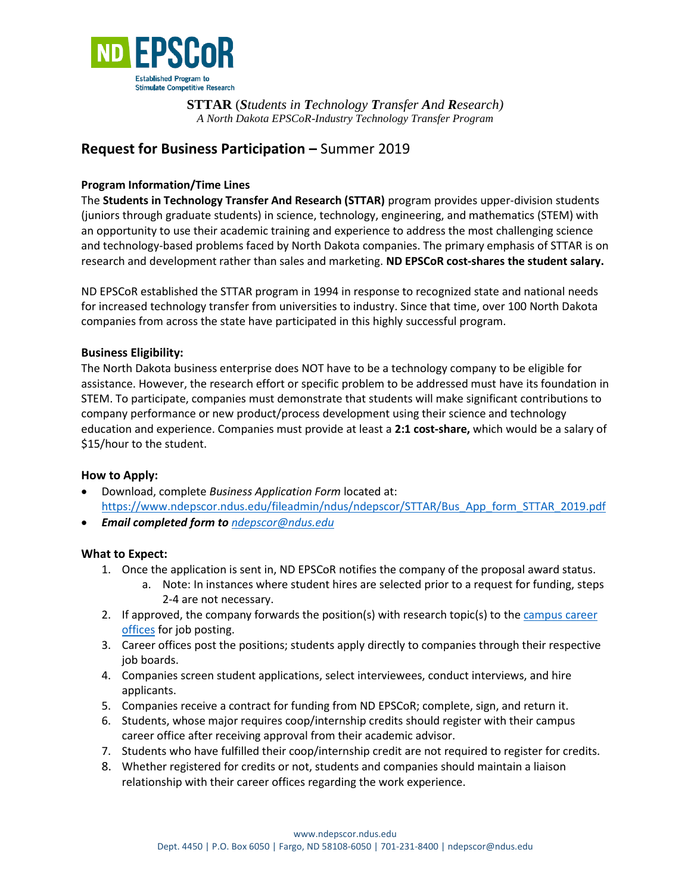

**STTAR** (*Students in Technology Transfer And Research) A North Dakota EPSCoR*-*Industry Technology Transfer Program*

# **Request for Business Participation** Summer 2019

# **Program Information/Time Lines**

The **Students in Technology Transfer And Research (STTAR)** program provides upper-division students (juniors through graduate students) in science, technology, engineering, and mathematics (STEM) with an opportunity to use their academic training and experience to address the most challenging science and technology-based problems faced by North Dakota companies. The primary emphasis of STTAR is on research and development rather than sales and marketing. **ND EPSCoR cost-shares the student salary.** 

ND EPSCoR established the STTAR program in 1994 in response to recognized state and national needs for increased technology transfer from universities to industry. Since that time, over 100 North Dakota companies from across the state have participated in this highly successful program.

# **Business Eligibility:**

The North Dakota business enterprise does NOT have to be a technology company to be eligible for assistance. However, the research effort or specific problem to be addressed must have its foundation in STEM. To participate, companies must demonstrate that students will make significant contributions to company performance or new product/process development using their science and technology education and experience. Companies must provide at least a **2:1 cost-share,** which would be a salary of \$15/hour to the student.

# **How to Apply:**

Download, complete *Business Application Form* located at: [https://www.ndepscor.ndus.edu/fileadmin/ndus/ndepscor/STTAR/Bus\\_App\\_form\\_STTAR\\_2019.pdf](https://www.ndepscor.ndus.edu/fileadmin/ndus/ndepscor/STTAR/Bus_App_form_STTAR_2019.pdf) *Email completed form to ndepscor@ndus.edu*

**What to Expect:** 

- 1. Once the application is sent in, ND EPSCoR notifies the company of the proposal award status.
	- a. Note: In instances where student hires are selected prior to a request for funding, steps 2-4 are not necessary.
- 2. If approved, the company forwards the position(s) with research topic(s) to the [campus career](STTAR%20Program%20Contact%20Information.pdf) [offices](STTAR%20Program%20Contact%20Information.pdf) for job posting.
- 3. Career offices post the positions; students apply directly to companies through their respective job boards.
- 4. Companies screen student applications, select interviewees, conduct interviews, and hire applicants.
- 5. Companies receive a contract for funding from ND EPSCoR; complete, sign, and return it.
- 6. Students, whose major requires coop/internship credits should register with their campus career office after receiving approval from their academic advisor.
- 7. Students who have fulfilled their coop/internship credit are not required to register for credits.
- 8. Whether registered for credits or not, students and companies should maintain a liaison relationship with their career offices regarding the work experience.